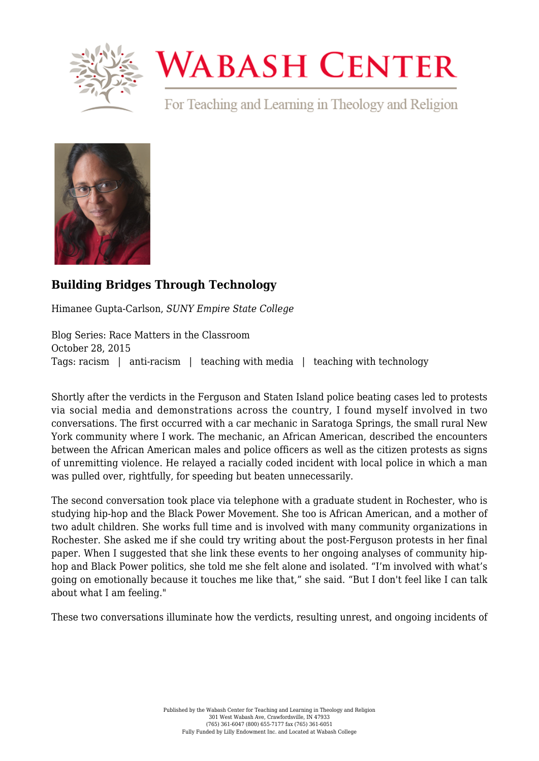

## **WABASH CENTER**

For Teaching and Learning in Theology and Religion



## **[Building Bridges Through Technology](https://www.wabashcenter.wabash.edu/2015/10/building-bridges-through-technology/)**

Himanee Gupta-Carlson, *SUNY Empire State College*

Blog Series: Race Matters in the Classroom October 28, 2015 Tags: racism | anti-racism | teaching with media | teaching with technology

Shortly after the verdicts in the Ferguson and Staten Island police beating cases led to protests via social media and demonstrations across the country, I found myself involved in two conversations. The first occurred with a car mechanic in Saratoga Springs, the small rural New York community where I work. The mechanic, an African American, described the encounters between the African American males and police officers as well as the citizen protests as signs of unremitting violence. He relayed a racially coded incident with local police in which a man was pulled over, rightfully, for speeding but beaten unnecessarily.

The second conversation took place via telephone with a graduate student in Rochester, who is studying hip-hop and the Black Power Movement. She too is African American, and a mother of two adult children. She works full time and is involved with many community organizations in Rochester. She asked me if she could try writing about the post-Ferguson protests in her final paper. When I suggested that she link these events to her ongoing analyses of community hiphop and Black Power politics, she told me she felt alone and isolated. "I'm involved with what's going on emotionally because it touches me like that," she said. "But I don't feel like I can talk about what I am feeling."

These two conversations illuminate how the verdicts, resulting unrest, and ongoing incidents of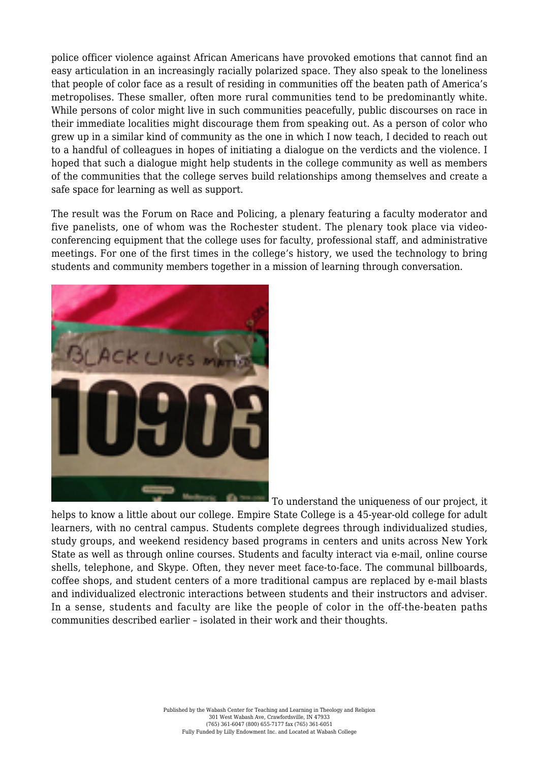police officer violence against African Americans have provoked emotions that cannot find an easy articulation in an increasingly racially polarized space. They also speak to the loneliness that people of color face as a result of residing in communities off the beaten path of America's metropolises. These smaller, often more rural communities tend to be predominantly white. While persons of color might live in such communities peacefully, public discourses on race in their immediate localities might discourage them from speaking out. As a person of color who grew up in a similar kind of community as the one in which I now teach, I decided to reach out to a handful of colleagues in hopes of initiating a dialogue on the verdicts and the violence. I hoped that such a dialogue might help students in the college community as well as members of the communities that the college serves build relationships among themselves and create a safe space for learning as well as support.

The result was the Forum on Race and Policing, a plenary featuring a faculty moderator and five panelists, one of whom was the Rochester student. The plenary took place via videoconferencing equipment that the college uses for faculty, professional staff, and administrative meetings. For one of the first times in the college's history, we used the technology to bring students and community members together in a mission of learning through conversation.



To understand the uniqueness of our project, it helps to know a little about our college. Empire State College is a 45-year-old college for adult learners, with no central campus. Students complete degrees through individualized studies, study groups, and weekend residency based programs in centers and units across New York State as well as through online courses. Students and faculty interact via e-mail, online course shells, telephone, and Skype. Often, they never meet face-to-face. The communal billboards, coffee shops, and student centers of a more traditional campus are replaced by e-mail blasts and individualized electronic interactions between students and their instructors and adviser. In a sense, students and faculty are like the people of color in the off-the-beaten paths communities described earlier – isolated in their work and their thoughts.